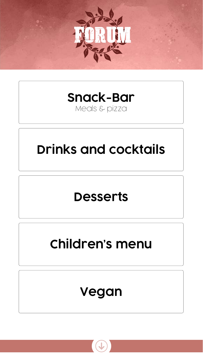<span id="page-0-0"></span>

# **[Snack-Bar](#page-1-0)**

## Meals & pizza



# **[Children's menu](#page-4-0)**



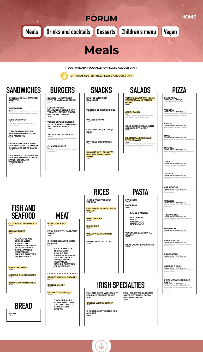**CHEESE AND HAM TOASTED SANDWICH** *4,10 €* 

**VEGETARIAN** *5,20 € Multi-grain bread, lettuce, cheese, tomato and hard-boiled egg - mayonnaise served separately.*

**CLUB SANDWICH** *6,30 € Sliced bread, ham, lettuce, tomato, bacon, chicken and egg.*

**TUNA SANDWICH WITH BRAISED PEPPERS, OLIVES AND ANCHOVIE** *6,60 €*

**CAESAR SANDWICH WITH CHICKEN STRIPS, PARMESAN CHEESE AND CESAR SAUCE** *6,60 €*

**CHICKEN ROLL: PITA BREAD, CHICKEN, TOMATO, TZATZIKI SAUCE, ONION AND WATERCRESS** *6,80 €*

**CUTTLEFISH COMBO PLATE** *14,10 €*

**SALMON FILLET** *15,90 €*

> **ALL PLATES ARE SERVED WITH A SALAD AND ANOTHER SIDE DISH OF YOUR CHOICE: CHIPS, SAUTÉED VEGETABLES, MASHED POTATOES OR WHITE RICE.**

**BOILED MUSSELS** *11,00 €*

**MUSSELS À LA MARINIÉRE** *11,00 €*

**RED PRAWN WITH GARLIC** *16,80 €*

**NACHOS WITH COD BRANDADE** *9,90 €*

**PORTION OF FRENCH FRIES**

*4,40 €*

**PATATES BRAVAS** *8,00 €*

**CHICKEN CROQUETTES (6 UDS.)** *8,20 €*

**BATTERED SQUID RINGS** *9,50 €*

**HUMMUS WITH CRUDITÉS AND PITA BREAD WITH SEEDS** *9,80 €*

 **(MÍN. 2 PAX | PRICE PER PERSON)** 

**CHICKEN WITH VEGETABLES PAELLA** *13,30 €*

**MIXED PAELLA** *16,30 €*

**BLACK RICE** *15,90 €*

**PAELLA À LA MARINIÉRE** *16,90 €*

**FIDEUA WITH "ALL I OLI"** *13,70 €*

**TOMATO SALAD WITH TUNA VENTRESCA AND TENDER ONION**



*10,70 €*

**GREEK SALAD** *9,70 €*

*Tomato, cucumber, green pepper, black olives, feta cheese, onion, oil, salt and oregano*

**GOAT CHEESE SALAD WITH CARAMELIZED APPLE** *10,50 €* 

#### **MEDITERRANEAN SALAD WITH PRAWNS** *14,20 €*

*Mixed leaf, cooked prawns, surimi, caramelised almonds, strawberry vinaigrette, prawn skewer, pineapple, baked cherry tomato.*

**MARGARITA** *11,00 € (30 cm) – 9,00 € (23 cm) Tomato sauce and mozzarella*

**VEGETAL** *12,90 € (30 cm) – 10,90 € (23 cm) Artichoke, mushrooms, courgette, red pepper, onion, tomato sauce and mozzarella*

**SALAMI** *12,90 € (30 cm) – 10,90 € (23 cm) Salami, tomato sauce and mozzarella*

**BACÓ** *12,90 € (30 cm) – 10,90 € (23 cm) Bacon, Emmental, tomato sauce and mozzarella*

**DIAVOLA** *12,90 € (30 cm) – 10,90 € (23 cm) Pepperoni, mushrooms, peppers, olives, tomato sauce, mozzarella*

**TUNA** *12,90 € (30 cm) – 10,90 € (23 cm) Tuna, tomato sauce and mozzarella*

<span id="page-1-0"></span>

**TROPICAL** *12,90 € (30 cm) – 10,90 € (23 cm) Cooked ham, pineapple, tomato sauce and mozzarella*

**CAPRICHOSA** *12,90 € (30 cm) – 10,90 € (23 cm) Mushrooms, ham, peppers, olives, tomato sauce and mozzarella*

### **CALZONE**

*12,90 € (30 cm) – 10,90 € (23 cm) Egg, mushrooms, ham, tomato sauce and mozzarella*

**4 ESTACIONS**

*12,90 € (30 cm) – 10,90 € (23 cm)*

*Tomato, mozzarella, mushrooms, artichokes,* 

*ham, black olives*

**PEPPERONI**

*12,90 € (30 cm) – 10,90 € (23 cm) Pepperoni, tomato sauce and Mozzarella*

**4 FORMATGES**

*12,90 € (30 cm) – 10,90 € (23 cm)*

*Parmesan, emmental, roquefort, mozzarella,* 

*tomato sauce*

**PROSCIUTTO** *12,90 € (30 cm) – 10,90 € (23 cm) Ham, tomato sauce and mozzarella*

**CAMBRILS PARK** *12,90 € (30 cm) – 10,90 € (23 cm) Roquefort, Parmesan, cured ham, tomato sauce and mozzarella*

#### **PIZZA VEGGIE CAMBRILS PARK** *12,90 € (30 cm) – 10,90 € (23 cm) Artichoke, mushrooms, courgette, red and green pepper, onion, tomato sauce and vegan mozzarella.*

**SPAGHETTI** *10,90 €*

**MACARONI** *10,90 €*

**SAUCE OPTIONS:**

**BOLOGNESE PESTO CARBONARA NAPOLITANA** 

**VEGETABLE LASAGNA 'AU GRATIN'** *11,50 €*

**MEAT LASAGNE 'AU GRATIN'** *11,80 €*

**FISH AND CHIPS WITH MUSHY PEAS AND TARTARE SAUCE** *10,10 €*

**GRILLED WHISKY SHRIMP** *13,80 €*

**CHICKEN CURRY WITH CHIPS** 

**PORK RIBS WITH BARBECUE SAUCE, POTATOES, BACON AND VEGETABLES** *15,90 €*

**CLASSIC HAMBURGUER WITH TOMATO AND ONION** *8,00 €*

**FULLY STACKED HAMBURGER SERVED WITH TOMATO, LETTUCE, ONION, BACON AND CHEESE** *10,40 €*

**VEGGIE BEYOND BURGER WITH CARAMELIZED ONION AND VEGAN CHEESE** *14,90 €*

**ANGUS SPECIAL BURGER** *15,20 € Pa de sèsam, enciam, formatge brie, ceba, bacó i hamburguesa de vedella.*

**CHICKEN BURGER** *8,00 € Sesame seed bun, lettuce, tomato and mustard mayonnaise*

**ROAST CHICKEN \***  *10,70 €*

**PORK RIBS WITH BARBECUE SAUCE \*** *15,90 €*





**CHICKEN ESCALOPE WITH GARNISH \*** *9,90 €*

> **\* ALL PLATES ARE SERVED WITH A SALAD AND ANOTHER SIDE DISH OF YOUR CHOICE: CHIPS, SAUTÉED VEGETABLES, MASHED POTATOES OR WHITE RICE.**

**GRILLED CHICKEN BREAST \*\*** *9,90 €*

**GRILLED LAMB \*\*** *17,50 €*

**ENTRECÔTE (250 GR) \*\*** *18,30 €*

> **\*\* ACCOMPANIED BY BAKED POTATO, GRILLED TOMATO AND SAUTEED PEPPER.**



## **FISH AND SEAFOOD**

**SNACKS**

**RICES**

**SALADS PIZZA**

**PASTA**

**IRISH SPECIALTIES**





**IF YOU HAVE ANY FOOD ALLERGY PLEASE ASK OUR STAFF**



 **OPTIONAL GLUTEN FREE, PLEASE ASK OUR STAFF** 

**BREAD**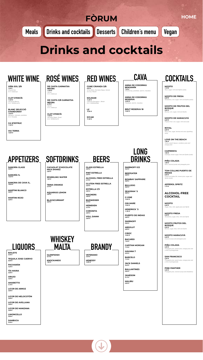**DE CASTA GARNATXA NEGRA** *11,90 € Samsó D.O. Catalunya* 

**DE CASTA 3/8 GARNATXA NEGRA**

*6,70 €*

**CUNE CRIANZA 3/8** *8,30 € Ull de llebre, Garnatxa Negra, Samsó D.O.Ca. RIOJA* 

**SOLIMAR** *11,20 € Cabernet Sauvignon , Merlot D.O. TARRAGONA* 

**MOJITO** *7,70 € Rum, sugar, mint and Sprite (soda).*

#### **MOJITO DE FRESA** *8,00 € Strawberry, rum, sugar, mint and Sprite (soda).*

**MOJITO FRESA** *6,30 € Strawberry, sugar, lime, mint and Sprite*

**MOJITO FRUTOS DEL BOSQUE** *6,30 € Berries, sugar, lime, mint and Sprite*

**MOJITO MARACUYÁ** *6,30 € Coconut syrup and pineapple juice*

**PIÑA COLADA** *5,20 € Pineapple juice, peach juice, orange juice and a hint of pomegranate*

**SAN FRANCISCO** *5,20 € Pineapple juice, peach juice, orange juice and a hint of pomegranate* 

**PINK PANTHER** *5,20 € Pineapple juice, coconut syrup and strawberry*

**VIÑA SOL 3/8** *7,30 € Chardonnay D.O. Catalunya* 

**CLOT D'ENCÍS** *11,00 € Garnacha Blanca D.O. TERRA ALTA*



**BAILEYS** *5,30 €*

**TEQUILA JOSE CUERVO** *6,60 €*

**PACHARÁN** *4,20 €*

**TÍA MARIA** *5,00 €*

**ORUJO** *4,90 €*

**AMARETTO** *4,10 €*

**LICOR DE ARROZ** *3,90 €*

**LICOR DE MELOCOTÓN** *3,90 €*

**LICOR DE AVELLANA** *3,90 €*

**LICOR DE MANZANA** *3,90 €*

| <b>LIMONCELLO</b><br>$5,00 \in$ |  |
|---------------------------------|--|
| <b>SAMBUCA</b><br>5,40 €        |  |





**GLENFIDISH** *9,10 €*

**KNOCKANDO** *7,60 €*

|  | 3.7U も                                     |
|--|--------------------------------------------|
|  | <b>CORONITA</b><br>$3,90 \text{ } \pounds$ |
|  | <b>VOLL DAMM</b><br>3,00 $\epsilon$        |

**VETERANO** *4,40 €*

**HENESSY** *10,30 €*

**HENDRICK´S** *11,30 €*

> **PUERTO DE INDIAS** *9,60 €*

**SMIRNOFF**  *6,90 €*

**ABSOLUT** *6,90 €*

**CIROC** *12,50 €*

**BACARDI** *7,40 €*

**CAPITAN MORGAN** *7,10 €*

**HAVANA 7** *9,30 €*

**BARCELO** *7,10 €*

**JACK DANIELS** *9,40 €*

**BALLANTINES** *6,90 €*

**JAMESON** *9,10 €*

**MALIBU** *6,90 €*

**ANNA DE CODORNIU BENJAMÍN** *7,30 € Chardonnay, parellada, xarel·lo, macabeu*

**ANNA DE CODORNIU RESERVA** *16,30 € Parellada, xarel·lo, macabeu*

**LIQUORS**

## **WHISKEY MALTA**

**BRANDY**

**CAVA**

# <span id="page-2-0"></span>FÒRUM [HOME](#page-0-0) **[Meals](#page-1-0) Drinks and cocktails <b>[Desserts](#page-3-0) [Children's menu](#page-4-0)** [Vegan](#page-5-0)

**Drinks and cocktails**

# WHITE WINE ROSÉ WINES RED WINES CAVA COCKTAILS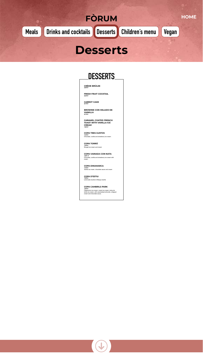**CARROT CAKE**

*6,70 €*

**BROWNIE CON HELADO DE VAINILLA** *6,70 €*

**CARAMEL COATED FRENCH TOAST WITH VANILLA ICE CREAM** *7,80 €*

**COPA TRES GUSTOS** *7,40 €* Chocolate, vanilla and strawberry ice cream.

**COPA TORRÓ** *7,50 €* Nougat ice cream and cream

<span id="page-3-0"></span>



**COPA VARIADA CON NATA** *7,60 €* Chocolate, vanilla and strawberry ice cream with cream.

**COPA DINAMARCA** *7,40 €* Vanilla ice cream, chocolate sauce and cream

**COPA D'ESTIU** *7,50 €* Lemonade slushie & Mango slushie

**COPA CAMBRILS PARK** *7,60 €* Cappuccino ice cream, cream ice cream, dulce de leche ice cream, with caramelised almonds, whipped cream and chocolate sauce.

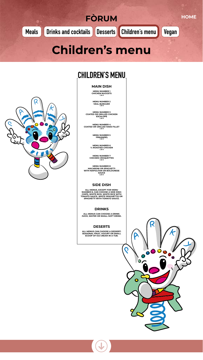**MAIN DISH**

**MENU NUMBER 1 CHICKEN NUGGETS** *7,90 €*

**MENU NUMBER 2**



**VEAL BURGUER** *7,90 €*

**MENU NUMBER 3 COATED OR GRILLED CHICKEN ESCALOPE** *7,90 €*

**MENU NUMBER 4 COATED OR GRILLED HAKE FILLET** *7,90 €*

> **MENU NUMBER 5 FRIKANDEL** *7,90 €*

**MENU NUMBER 6 ¼ ROASTED CHICKEN** *7,90 €*

**MENU NUMBER 7 CHICKEN CROQUETTES** *7,90 €*

<span id="page-4-0"></span>

**MENU NUMBER 8 MACARONI OR SPAGUETTI WITH NAPOLITAN OR BOLOGNESE SAUCE** *6,90 €*

### **SIDE DISH**

**ALL MENUS, EXCEPT FOR MENU NUMBER 8, CAN CHOOSE A SIDE DISH: CHIPS, WHITE RICE, WHITE RICE WITH TOMATO SAUCE, WHITE SPAGHETTIS OR SPAGHETTI WITH TOMATO SAUCE.** 



**ALL MENUS CAN CHOOSE A DRINK: JUICE, WATER OR SMALL SOFT DRINK.**

### **DESERTS**

**ALL MENUS CAN CHOOSE A DESSERT: SEASONAL FRUIT, YOGURT OR SMALL SCOOP OF ICE CREAM IN A TUB.**



 $\mathbf O$ 





# **CHILDREN'S MENU**